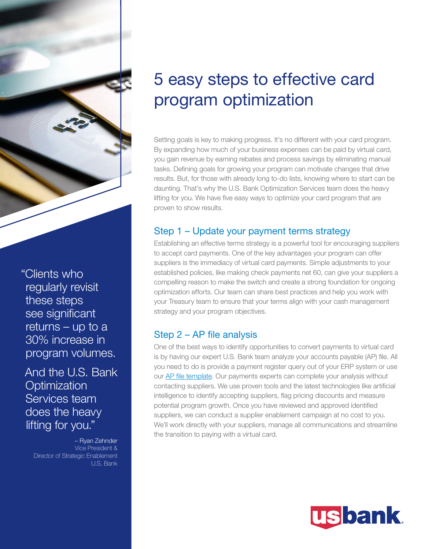

"Clients who regularly revisit these steps see significant returns – up to a 30% increase in program volumes.

And the U.S. Bank **Optimization** Services team does the heavy lifting for you."

– Ryan Zehnder Vice President & Director of Strategic Enablement U.S. Bank

# 5 easy steps to effective card program optimization

Setting goals is key to making progress. It's no different with your card program. By expanding how much of your business expenses can be paid by virtual card, you gain revenue by earning rebates and process savings by eliminating manual tasks. Defining goals for growing your program can motivate changes that drive results. But, for those with already long to-do lists, knowing where to start can be daunting. That's why the U.S. Bank Optimization Services team does the heavy lifting for you. We have five easy ways to optimize your card program that are proven to show results.

### Step 1 – Update your payment terms strategy

Establishing an effective terms strategy is a powerful tool for encouraging suppliers to accept card payments. One of the key advantages your program can offer suppliers is the immediacy of virtual card payments. Simple adjustments to your established policies, like making check payments net 60, can give your suppliers a compelling reason to make the switch and create a strong foundation for ongoing optimization efforts. Our team can share best practices and help you work with your Treasury team to ensure that your terms align with your cash management strategy and your program objectives.

# Step 2 – AP file analysis

One of the best ways to identify opportunities to convert payments to virtual card is by having our expert U.S. Bank team analyze your accounts payable (AP) file. All you need to do is provide a payment register query out of your ERP system or use our **AP** file template. Our payments experts can complete your analysis without contacting suppliers. We use proven tools and the latest technologies like artificial intelligence to identify accepting suppliers, flag pricing discounts and measure potential program growth. Once you have reviewed and approved identified suppliers, we can conduct a supplier enablement campaign at no cost to you. We'll work directly with your suppliers, manage all communications and streamline the transition to paying with a virtual card.